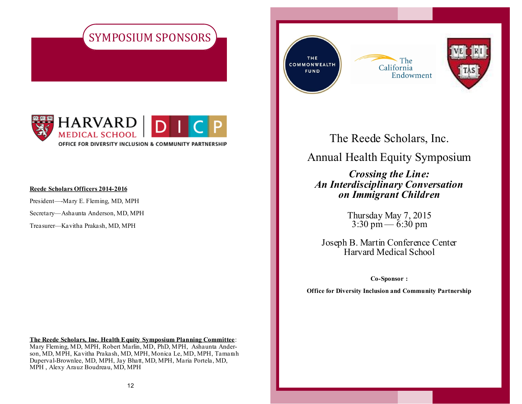



#### **Reede Scholars Officers 2014-2016**

President—-Mary E. Fleming, MD, MPH

Secretary—Ashaunta Anderson, MD, MPH

Treasurer—Kavitha Prakash, MD, MPH

**The Reede Scholars, Inc. Health Equity Symposium Planning Committee**: Mary Fleming, MD, MPH, Robert Marlin, MD, PhD, MPH, Ashaunta Anderson, MD, MPH, Kavitha Prakash, MD, MPH, Monica Le, MD, MPH, Tamarah Duperval-Brownlee, MD, MPH, Jay Bhatt, MD, MPH, Maria Portela, MD, MPH , Alexy Arauz Boudreau, MD, MPH

THE COMMONWEALTH **FUND** 





The Reede Scholars, Inc.

## Annual Health Equity Symposium

*Crossing the Line: An Interdisciplinary Conversation on Immigrant Children*

> Thursday May 7, 2015 3:30 pm — 6:30 pm

Joseph B. Martin Conference Center Harvard Medical School

**Co-Sponsor :**

**Office for Diversity Inclusion and Community Partnership**

1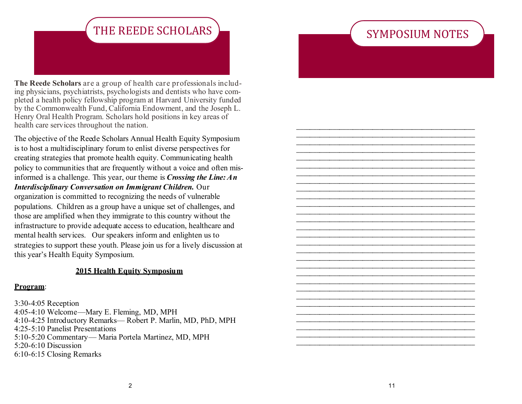## SYMPOSIUM NOTES

 $\frac{1}{2}$  ,  $\frac{1}{2}$  ,  $\frac{1}{2}$  ,  $\frac{1}{2}$  ,  $\frac{1}{2}$  ,  $\frac{1}{2}$  ,  $\frac{1}{2}$  ,  $\frac{1}{2}$  ,  $\frac{1}{2}$  ,  $\frac{1}{2}$  ,  $\frac{1}{2}$  ,  $\frac{1}{2}$  ,  $\frac{1}{2}$  ,  $\frac{1}{2}$  ,  $\frac{1}{2}$  ,  $\frac{1}{2}$  ,  $\frac{1}{2}$  ,  $\frac{1}{2}$  ,  $\frac{1$ \_\_\_\_\_\_\_\_\_\_\_\_\_\_\_\_\_\_\_\_\_\_\_\_\_\_\_\_\_\_\_\_\_\_\_\_\_\_\_\_\_\_\_\_\_\_\_\_\_\_\_\_\_\_  $\frac{1}{2}$  ,  $\frac{1}{2}$  ,  $\frac{1}{2}$  ,  $\frac{1}{2}$  ,  $\frac{1}{2}$  ,  $\frac{1}{2}$  ,  $\frac{1}{2}$  ,  $\frac{1}{2}$  ,  $\frac{1}{2}$  ,  $\frac{1}{2}$  ,  $\frac{1}{2}$  ,  $\frac{1}{2}$  ,  $\frac{1}{2}$  ,  $\frac{1}{2}$  ,  $\frac{1}{2}$  ,  $\frac{1}{2}$  ,  $\frac{1}{2}$  ,  $\frac{1}{2}$  ,  $\frac{1$ \_\_\_\_\_\_\_\_\_\_\_\_\_\_\_\_\_\_\_\_\_\_\_\_\_\_\_\_\_\_\_\_\_\_\_\_\_\_\_\_\_\_\_\_\_\_\_\_\_\_\_\_\_\_  $\frac{1}{2}$  ,  $\frac{1}{2}$  ,  $\frac{1}{2}$  ,  $\frac{1}{2}$  ,  $\frac{1}{2}$  ,  $\frac{1}{2}$  ,  $\frac{1}{2}$  ,  $\frac{1}{2}$  ,  $\frac{1}{2}$  ,  $\frac{1}{2}$  ,  $\frac{1}{2}$  ,  $\frac{1}{2}$  ,  $\frac{1}{2}$  ,  $\frac{1}{2}$  ,  $\frac{1}{2}$  ,  $\frac{1}{2}$  ,  $\frac{1}{2}$  ,  $\frac{1}{2}$  ,  $\frac{1$  $\frac{1}{2}$  ,  $\frac{1}{2}$  ,  $\frac{1}{2}$  ,  $\frac{1}{2}$  ,  $\frac{1}{2}$  ,  $\frac{1}{2}$  ,  $\frac{1}{2}$  ,  $\frac{1}{2}$  ,  $\frac{1}{2}$  ,  $\frac{1}{2}$  ,  $\frac{1}{2}$  ,  $\frac{1}{2}$  ,  $\frac{1}{2}$  ,  $\frac{1}{2}$  ,  $\frac{1}{2}$  ,  $\frac{1}{2}$  ,  $\frac{1}{2}$  ,  $\frac{1}{2}$  ,  $\frac{1$ \_\_\_\_\_\_\_\_\_\_\_\_\_\_\_\_\_\_\_\_\_\_\_\_\_\_\_\_\_\_\_\_\_\_\_\_\_\_\_\_\_\_\_\_\_\_\_\_\_\_\_\_\_\_  $\frac{1}{2}$  ,  $\frac{1}{2}$  ,  $\frac{1}{2}$  ,  $\frac{1}{2}$  ,  $\frac{1}{2}$  ,  $\frac{1}{2}$  ,  $\frac{1}{2}$  ,  $\frac{1}{2}$  ,  $\frac{1}{2}$  ,  $\frac{1}{2}$  ,  $\frac{1}{2}$  ,  $\frac{1}{2}$  ,  $\frac{1}{2}$  ,  $\frac{1}{2}$  ,  $\frac{1}{2}$  ,  $\frac{1}{2}$  ,  $\frac{1}{2}$  ,  $\frac{1}{2}$  ,  $\frac{1$ \_\_\_\_\_\_\_\_\_\_\_\_\_\_\_\_\_\_\_\_\_\_\_\_\_\_\_\_\_\_\_\_\_\_\_\_\_\_\_\_\_\_\_\_\_\_\_\_\_\_\_\_\_\_  $\frac{1}{2}$  ,  $\frac{1}{2}$  ,  $\frac{1}{2}$  ,  $\frac{1}{2}$  ,  $\frac{1}{2}$  ,  $\frac{1}{2}$  ,  $\frac{1}{2}$  ,  $\frac{1}{2}$  ,  $\frac{1}{2}$  ,  $\frac{1}{2}$  ,  $\frac{1}{2}$  ,  $\frac{1}{2}$  ,  $\frac{1}{2}$  ,  $\frac{1}{2}$  ,  $\frac{1}{2}$  ,  $\frac{1}{2}$  ,  $\frac{1}{2}$  ,  $\frac{1}{2}$  ,  $\frac{1$ \_\_\_\_\_\_\_\_\_\_\_\_\_\_\_\_\_\_\_\_\_\_\_\_\_\_\_\_\_\_\_\_\_\_\_\_\_\_\_\_\_\_\_\_\_\_\_\_\_\_\_\_\_\_  $\frac{1}{2}$  ,  $\frac{1}{2}$  ,  $\frac{1}{2}$  ,  $\frac{1}{2}$  ,  $\frac{1}{2}$  ,  $\frac{1}{2}$  ,  $\frac{1}{2}$  ,  $\frac{1}{2}$  ,  $\frac{1}{2}$  ,  $\frac{1}{2}$  ,  $\frac{1}{2}$  ,  $\frac{1}{2}$  ,  $\frac{1}{2}$  ,  $\frac{1}{2}$  ,  $\frac{1}{2}$  ,  $\frac{1}{2}$  ,  $\frac{1}{2}$  ,  $\frac{1}{2}$  ,  $\frac{1$  $\frac{1}{2}$  ,  $\frac{1}{2}$  ,  $\frac{1}{2}$  ,  $\frac{1}{2}$  ,  $\frac{1}{2}$  ,  $\frac{1}{2}$  ,  $\frac{1}{2}$  ,  $\frac{1}{2}$  ,  $\frac{1}{2}$  ,  $\frac{1}{2}$  ,  $\frac{1}{2}$  ,  $\frac{1}{2}$  ,  $\frac{1}{2}$  ,  $\frac{1}{2}$  ,  $\frac{1}{2}$  ,  $\frac{1}{2}$  ,  $\frac{1}{2}$  ,  $\frac{1}{2}$  ,  $\frac{1$ \_\_\_\_\_\_\_\_\_\_\_\_\_\_\_\_\_\_\_\_\_\_\_\_\_\_\_\_\_\_\_\_\_\_\_\_\_\_\_\_\_\_\_\_\_\_\_\_\_\_\_\_\_\_  $\frac{1}{2}$  ,  $\frac{1}{2}$  ,  $\frac{1}{2}$  ,  $\frac{1}{2}$  ,  $\frac{1}{2}$  ,  $\frac{1}{2}$  ,  $\frac{1}{2}$  ,  $\frac{1}{2}$  ,  $\frac{1}{2}$  ,  $\frac{1}{2}$  ,  $\frac{1}{2}$  ,  $\frac{1}{2}$  ,  $\frac{1}{2}$  ,  $\frac{1}{2}$  ,  $\frac{1}{2}$  ,  $\frac{1}{2}$  ,  $\frac{1}{2}$  ,  $\frac{1}{2}$  ,  $\frac{1$ \_\_\_\_\_\_\_\_\_\_\_\_\_\_\_\_\_\_\_\_\_\_\_\_\_\_\_\_\_\_\_\_\_\_\_\_\_\_\_\_\_\_\_\_\_\_\_\_\_\_\_\_\_\_  $\frac{1}{2}$  ,  $\frac{1}{2}$  ,  $\frac{1}{2}$  ,  $\frac{1}{2}$  ,  $\frac{1}{2}$  ,  $\frac{1}{2}$  ,  $\frac{1}{2}$  ,  $\frac{1}{2}$  ,  $\frac{1}{2}$  ,  $\frac{1}{2}$  ,  $\frac{1}{2}$  ,  $\frac{1}{2}$  ,  $\frac{1}{2}$  ,  $\frac{1}{2}$  ,  $\frac{1}{2}$  ,  $\frac{1}{2}$  ,  $\frac{1}{2}$  ,  $\frac{1}{2}$  ,  $\frac{1$  $\frac{1}{2}$  ,  $\frac{1}{2}$  ,  $\frac{1}{2}$  ,  $\frac{1}{2}$  ,  $\frac{1}{2}$  ,  $\frac{1}{2}$  ,  $\frac{1}{2}$  ,  $\frac{1}{2}$  ,  $\frac{1}{2}$  ,  $\frac{1}{2}$  ,  $\frac{1}{2}$  ,  $\frac{1}{2}$  ,  $\frac{1}{2}$  ,  $\frac{1}{2}$  ,  $\frac{1}{2}$  ,  $\frac{1}{2}$  ,  $\frac{1}{2}$  ,  $\frac{1}{2}$  ,  $\frac{1$ \_\_\_\_\_\_\_\_\_\_\_\_\_\_\_\_\_\_\_\_\_\_\_\_\_\_\_\_\_\_\_\_\_\_\_\_\_\_\_\_\_\_\_\_\_\_\_\_\_\_\_\_\_\_  $\frac{1}{2}$  ,  $\frac{1}{2}$  ,  $\frac{1}{2}$  ,  $\frac{1}{2}$  ,  $\frac{1}{2}$  ,  $\frac{1}{2}$  ,  $\frac{1}{2}$  ,  $\frac{1}{2}$  ,  $\frac{1}{2}$  ,  $\frac{1}{2}$  ,  $\frac{1}{2}$  ,  $\frac{1}{2}$  ,  $\frac{1}{2}$  ,  $\frac{1}{2}$  ,  $\frac{1}{2}$  ,  $\frac{1}{2}$  ,  $\frac{1}{2}$  ,  $\frac{1}{2}$  ,  $\frac{1$ \_\_\_\_\_\_\_\_\_\_\_\_\_\_\_\_\_\_\_\_\_\_\_\_\_\_\_\_\_\_\_\_\_\_\_\_\_\_\_\_\_\_\_\_\_\_\_\_\_\_\_\_\_\_  $\frac{1}{2}$  ,  $\frac{1}{2}$  ,  $\frac{1}{2}$  ,  $\frac{1}{2}$  ,  $\frac{1}{2}$  ,  $\frac{1}{2}$  ,  $\frac{1}{2}$  ,  $\frac{1}{2}$  ,  $\frac{1}{2}$  ,  $\frac{1}{2}$  ,  $\frac{1}{2}$  ,  $\frac{1}{2}$  ,  $\frac{1}{2}$  ,  $\frac{1}{2}$  ,  $\frac{1}{2}$  ,  $\frac{1}{2}$  ,  $\frac{1}{2}$  ,  $\frac{1}{2}$  ,  $\frac{1$ \_\_\_\_\_\_\_\_\_\_\_\_\_\_\_\_\_\_\_\_\_\_\_\_\_\_\_\_\_\_\_\_\_\_\_\_\_\_\_\_\_\_\_\_\_\_\_\_\_\_\_\_\_\_  $\frac{1}{2}$  ,  $\frac{1}{2}$  ,  $\frac{1}{2}$  ,  $\frac{1}{2}$  ,  $\frac{1}{2}$  ,  $\frac{1}{2}$  ,  $\frac{1}{2}$  ,  $\frac{1}{2}$  ,  $\frac{1}{2}$  ,  $\frac{1}{2}$  ,  $\frac{1}{2}$  ,  $\frac{1}{2}$  ,  $\frac{1}{2}$  ,  $\frac{1}{2}$  ,  $\frac{1}{2}$  ,  $\frac{1}{2}$  ,  $\frac{1}{2}$  ,  $\frac{1}{2}$  ,  $\frac{1$  $\frac{1}{2}$  ,  $\frac{1}{2}$  ,  $\frac{1}{2}$  ,  $\frac{1}{2}$  ,  $\frac{1}{2}$  ,  $\frac{1}{2}$  ,  $\frac{1}{2}$  ,  $\frac{1}{2}$  ,  $\frac{1}{2}$  ,  $\frac{1}{2}$  ,  $\frac{1}{2}$  ,  $\frac{1}{2}$  ,  $\frac{1}{2}$  ,  $\frac{1}{2}$  ,  $\frac{1}{2}$  ,  $\frac{1}{2}$  ,  $\frac{1}{2}$  ,  $\frac{1}{2}$  ,  $\frac{1$ \_\_\_\_\_\_\_\_\_\_\_\_\_\_\_\_\_\_\_\_\_\_\_\_\_\_\_\_\_\_\_\_\_\_\_\_\_\_\_\_\_\_\_\_\_\_\_\_\_\_\_\_\_\_  $\frac{1}{2}$  ,  $\frac{1}{2}$  ,  $\frac{1}{2}$  ,  $\frac{1}{2}$  ,  $\frac{1}{2}$  ,  $\frac{1}{2}$  ,  $\frac{1}{2}$  ,  $\frac{1}{2}$  ,  $\frac{1}{2}$  ,  $\frac{1}{2}$  ,  $\frac{1}{2}$  ,  $\frac{1}{2}$  ,  $\frac{1}{2}$  ,  $\frac{1}{2}$  ,  $\frac{1}{2}$  ,  $\frac{1}{2}$  ,  $\frac{1}{2}$  ,  $\frac{1}{2}$  ,  $\frac{1$ \_\_\_\_\_\_\_\_\_\_\_\_\_\_\_\_\_\_\_\_\_\_\_\_\_\_\_\_\_\_\_\_\_\_\_\_\_\_\_\_\_\_\_\_\_\_\_\_\_\_\_\_\_\_  $\frac{1}{2}$  ,  $\frac{1}{2}$  ,  $\frac{1}{2}$  ,  $\frac{1}{2}$  ,  $\frac{1}{2}$  ,  $\frac{1}{2}$  ,  $\frac{1}{2}$  ,  $\frac{1}{2}$  ,  $\frac{1}{2}$  ,  $\frac{1}{2}$  ,  $\frac{1}{2}$  ,  $\frac{1}{2}$  ,  $\frac{1}{2}$  ,  $\frac{1}{2}$  ,  $\frac{1}{2}$  ,  $\frac{1}{2}$  ,  $\frac{1}{2}$  ,  $\frac{1}{2}$  ,  $\frac{1$ 

## THE REEDE SCHOLARS

**The Reede Scholars** are a group of health care professionals including physicians, psychiatrists, psychologists and dentists who have completed a health policy fellowship program at Harvard University funded by the Commonwealth Fund, California Endowment, and the Joseph L. Henry Oral Health Program. Scholars hold positions in key areas of health care services throughout the nation.

The objective of the Reede Scholars Annual Health Equity Symposium is to host a multidisciplinary forum to enlist diverse perspectives for creating strategies that promote health equity. Communicating health policy to communities that are frequently without a voice and often misinformed is a challenge. This year, our theme is *Crossing the Line: An Interdisciplinary Conversation on Immigrant Children.* Our organization is committed to recognizing the needs of vulnerable populations. Children as a group have a unique set of challenges, and those are amplified when they immigrate to this country without the infrastructure to provide adequate access to education, healthcare and mental health services. Our speakers inform and enlighten us to strategies to support these youth. Please join us for a lively discussion at this year's Health Equity Symposium.

#### **2015 Health Equity Symposium**

#### **Program**:

3:30-4:05 Reception 4:05-4:10 Welcome—Mary E. Fleming, MD, MPH 4:10-4:25 Introductory Remarks— Robert P. Marlin, MD, PhD, MPH 4:25-5:10 Panelist Presentations 5:10-5:20 Commentary— Maria Portela Martinez, MD, MPH 5:20-6:10 Discussion 6:10-6:15 Closing Remarks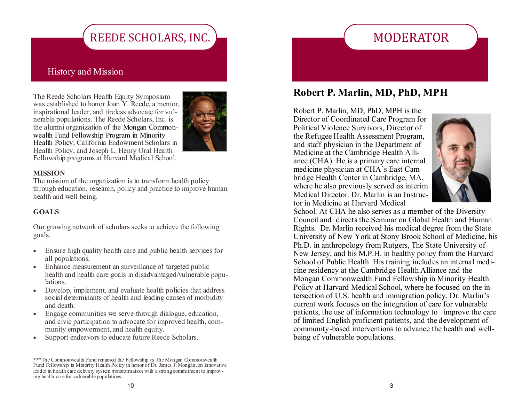# REEDE SCHOLARS, INC.

### History and Mission

The Reede Scholars Health Equity Symposium was established to honor Joan Y. Reede, a mentor, inspirational leader, and tireless advocate for vulnerable populations. The Reede Scholars, Inc. is the alumni organization of the Mongan Commonwealth Fund Fellowship Program in Minority Health Policy, California Endowment Scholars in Health Policy, and Joseph L. Henry Oral Health Fellowship programs at Harvard Medical School.



#### **MISSION**

The mission of the organization is to transform health policy through education, research, policy and practice to improve human health and well being.

#### **GOALS**

Our growing network of scholars seeks to achieve the following goals.

- Ensure high quality health care and public health services for all populations.
- Enhance measurement an surveillance of targeted public health and health care goals in disadvantaged/vulnerable populations.
- Develop, implement, and evaluate health policies that address social determinants of health and leading causes of morbidity and death.
- Engage communities we serve through dialogue, education, and civic participation to advocate for improved health, community empowerment, and health equity.
- Support endeavors to educate future Reede Scholars.

## **Robert P. Marlin, MD, PhD, MPH**

MODERATOR

Robert P. Marlin, MD, PhD, MPH is the Director of Coordinated Care Program for Political Violence Survivors, Director of the Refugee Health Assessment Program, and staff physician in the Department of Medicine at the Cambridge Health Alliance (CHA). He is a primary care internal medicine physician at CHA's East Cambridge Health Center in Cambridge, MA, where he also previously served as interim Medical Director. Dr. Marlin is an Instructor in Medicine at Harvard Medical



School. At CHA he also serves as a member of the Diversity Council and directs the Seminar on Global Health and Human Rights. Dr. Marlin received his medical degree from the State University of New York at Stony Brook School of Medicine, his Ph.D. in anthropology from Rutgers, The State University of New Jersey, and his M.P.H. in healthy policy from the Harvard School of Public Health. His training includes an internal medicine residency at the Cambridge Health Alliance and the Mongan Commonwealth Fund Fellowship in Minority Health Policy at Harvard Medical School, where he focused on the intersection of U.S. health and immigration policy. Dr. Marlin's current work focuses on the integration of care for vulnerable patients, the use of information technology to improve the care of limited English proficient patients, and the development of community-based interventions to advance the health and wellbeing of vulnerable populations.

<sup>\*\*\*</sup>The Commonwealth Fund renamed the Fellowship as The Mongan Commonwealth Fund Fellowship in Minority Health Policy in honor of Dr. James J. Mongan, an innovative leader in health care delivery system transformation with a strong commitment to improving health care for vulnerable populations.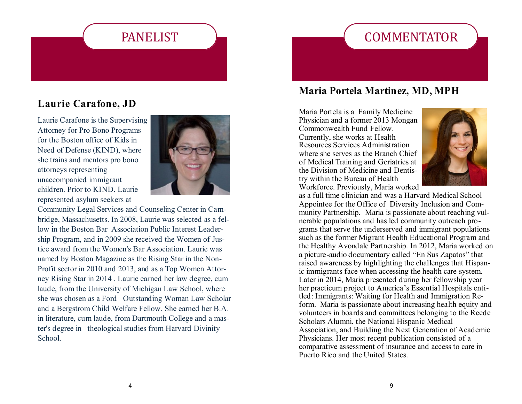# PANELIST

### **Laurie Carafone, JD**

Laurie Carafone is the Supervising Attorney for Pro Bono Programs for the Boston office of Kids in Need of Defense (KIND), where she trains and mentors pro bono attorneys representing unaccompanied immigrant children. Prior to KIND, Laurie represented asylum seekers at



Community Legal Services and Counseling Center in Cambridge, Massachusetts. In 2008, Laurie was selected as a fellow in the Boston Bar Association Public Interest Leadership Program, and in 2009 she received the Women of Justice award from the Women's Bar Association. Laurie was named by Boston Magazine as the Rising Star in the Non-Profit sector in 2010 and 2013, and as a Top Women Attorney Rising Star in 2014 . Laurie earned her law degree, cum laude, from the University of Michigan Law School, where she was chosen as a Ford Outstanding Woman Law Scholar and a Bergstrom Child Welfare Fellow. She earned her B.A. in literature, cum laude, from Dartmouth College and a master's degree in theological studies from Harvard Divinity School.

## **Maria Portela Martinez, MD, MPH**

**COMMENTATOR** 

Maria Portela is a Family Medicine Physician and a former 2013 Mongan Commonwealth Fund Fellow. Currently, she works at Health Resources Services Administration where she serves as the Branch Chief of Medical Training and Geriatrics at the Division of Medicine and Dentistry within the Bureau of Health Workforce. Previously, Maria worked



as a full time clinician and was a Harvard Medical School Appointee for the Office of Diversity Inclusion and Community Partnership. Maria is passionate about reaching vulnerable populations and has led community outreach programs that serve the underserved and immigrant populations such as the former Migrant Health Educational Program and the Healthy Avondale Partnership. In 2012, Maria worked on a picture-audio documentary called "En Sus Zapatos" that raised awareness by highlighting the challenges that Hispanic immigrants face when accessing the health care system. Later in 2014, Maria presented during her fellowship year her practicum project to America's Essential Hospitals entitled: Immigrants: Waiting for Health and Immigration Reform. Maria is passionate about increasing health equity and volunteers in boards and committees belonging to the Reede Scholars Alumni, the National Hispanic Medical Association, and Building the Next Generation of Academic Physicians. Her most recent publication consisted of a comparative assessment of insurance and access to care in Puerto Rico and the United States.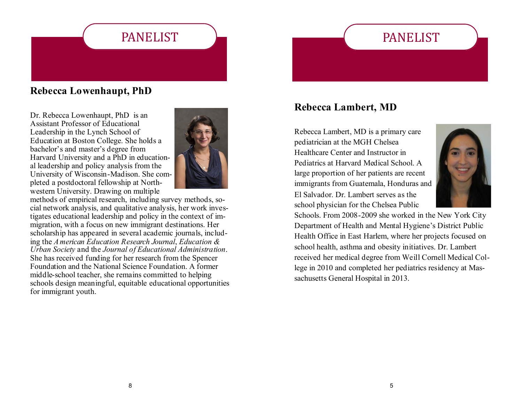# PANELIST

# PANELIST

## **Rebecca Lowenhaupt, PhD**

Dr. Rebecca Lowenhaupt, PhD is an Assistant Professor of Educational Leadership in the Lynch School of Education at Boston College. She holds a bachelor's and master's degree from Harvard University and a PhD in educational leadership and policy analysis from the University of Wisconsin-Madison. She completed a postdoctoral fellowship at Northwestern University. Drawing on multiple



methods of empirical research, including survey methods, social network analysis, and qualitative analysis, her work investigates educational leadership and policy in the context of immigration, with a focus on new immigrant destinations. Her scholarship has appeared in several academic journals, including the *A merican Education Research Journal*, *Education & Urban Society* and the *Journal of Educational Administration*. She has received funding for her research from the Spencer Foundation and the National Science Foundation. A former middle-school teacher, she remains committed to helping schools design meaningful, equitable educational opportunities for immigrant youth.

## **Rebecca Lambert, MD**

Rebecca Lambert, MD is a primary care pediatrician at the MGH Chelsea Healthcare Center and Instructor in Pediatrics at Harvard Medical School. A large proportion of her patients are recent immigrants from Guatemala, Honduras and El Salvador. Dr. Lambert serves as the school physician for the Chelsea Public



Schools. From 2008-2009 she worked in the New York City Department of Health and Mental Hygiene's District Public Health Office in East Harlem, where her projects focused on school health, asthma and obesity initiatives. Dr. Lambert received her medical degree from Weill Cornell Medical College in 2010 and completed her pediatrics residency at Massachusetts General Hospital in 2013.